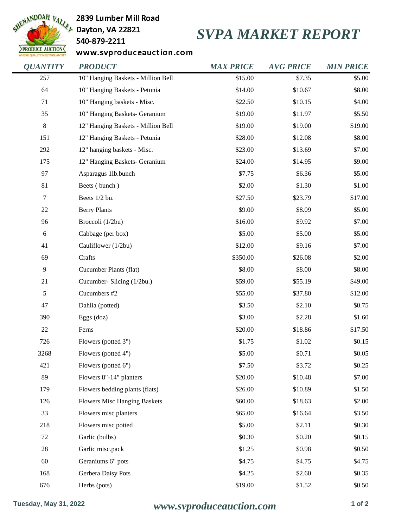

2839 Lumber Mill Road

## 540-879-2211

## *SVPA MARKET REPORT*

www.svproduceauction.com

| <b>QUANTITY</b>  | <b>PRODUCT</b>                      | <b>MAX PRICE</b> | <b>AVG PRICE</b> | <b>MIN PRICE</b> |
|------------------|-------------------------------------|------------------|------------------|------------------|
| 257              | 10" Hanging Baskets - Million Bell  | \$15.00          | \$7.35           | \$5.00           |
| 64               | 10" Hanging Baskets - Petunia       | \$14.00          | \$10.67          | \$8.00           |
| 71               | 10" Hanging baskets - Misc.         | \$22.50          | \$10.15          | \$4.00           |
| 35               | 10" Hanging Baskets- Geranium       | \$19.00          | \$11.97          | \$5.50           |
| $8\,$            | 12" Hanging Baskets - Million Bell  | \$19.00          | \$19.00          | \$19.00          |
| 151              | 12" Hanging Baskets - Petunia       | \$28.00          | \$12.08          | \$8.00           |
| 292              | 12" hanging baskets - Misc.         | \$23.00          | \$13.69          | \$7.00           |
| 175              | 12" Hanging Baskets- Geranium       | \$24.00          | \$14.95          | \$9.00           |
| 97               | Asparagus 1lb.bunch                 | \$7.75           | \$6.36           | \$5.00           |
| 81               | Beets (bunch)                       | \$2.00           | \$1.30           | \$1.00           |
| $\boldsymbol{7}$ | Beets 1/2 bu.                       | \$27.50          | \$23.79          | \$17.00          |
| 22               | <b>Berry Plants</b>                 | \$9.00           | \$8.09           | \$5.00           |
| 96               | Broccoli (1/2bu)                    | \$16.00          | \$9.92           | \$7.00           |
| $\sqrt{6}$       | Cabbage (per box)                   | \$5.00           | \$5.00           | \$5.00           |
| 41               | Cauliflower (1/2bu)                 | \$12.00          | \$9.16           | \$7.00           |
| 69               | Crafts                              | \$350.00         | \$26.08          | \$2.00           |
| $\mathbf{9}$     | Cucumber Plants (flat)              | \$8.00           | \$8.00           | \$8.00           |
| 21               | Cucumber- Slicing (1/2bu.)          | \$59.00          | \$55.19          | \$49.00          |
| 5                | Cucumbers #2                        | \$55.00          | \$37.80          | \$12.00          |
| 47               | Dahlia (potted)                     | \$3.50           | \$2.10           | \$0.75           |
| 390              | Eggs $(doz)$                        | \$3.00           | \$2.28           | \$1.60           |
| 22               | Ferns                               | \$20.00          | \$18.86          | \$17.50          |
| 726              | Flowers (potted 3")                 | \$1.75           | \$1.02           | \$0.15           |
| 3268             | Flowers (potted 4")                 | \$5.00           | \$0.71           | \$0.05           |
| 421              | Flowers (potted 6")                 | \$7.50           | \$3.72           | \$0.25           |
| 89               | Flowers 8"-14" planters             | \$20.00          | \$10.48          | \$7.00           |
| 179              | Flowers bedding plants (flats)      | \$26.00          | \$10.89          | \$1.50           |
| 126              | <b>Flowers Misc Hanging Baskets</b> | \$60.00          | \$18.63          | \$2.00           |
| 33               | Flowers misc planters               | \$65.00          | \$16.64          | \$3.50           |
| 218              | Flowers misc potted                 | \$5.00           | \$2.11           | \$0.30           |
| $72\,$           | Garlic (bulbs)                      | \$0.30           | \$0.20           | \$0.15           |
| $28\,$           | Garlic misc.pack                    | \$1.25           | \$0.98           | \$0.50           |
| 60               | Geraniums 6" pots                   | \$4.75           | \$4.75           | \$4.75           |
| 168              | Gerbera Daisy Pots                  | \$4.25           | \$2.60           | \$0.35           |
| 676              | Herbs (pots)                        | \$19.00          | \$1.52           | \$0.50           |
|                  |                                     |                  |                  |                  |

**Tuesday, May 31, 2022** *www.svproduceauction.com* **1 of 2**